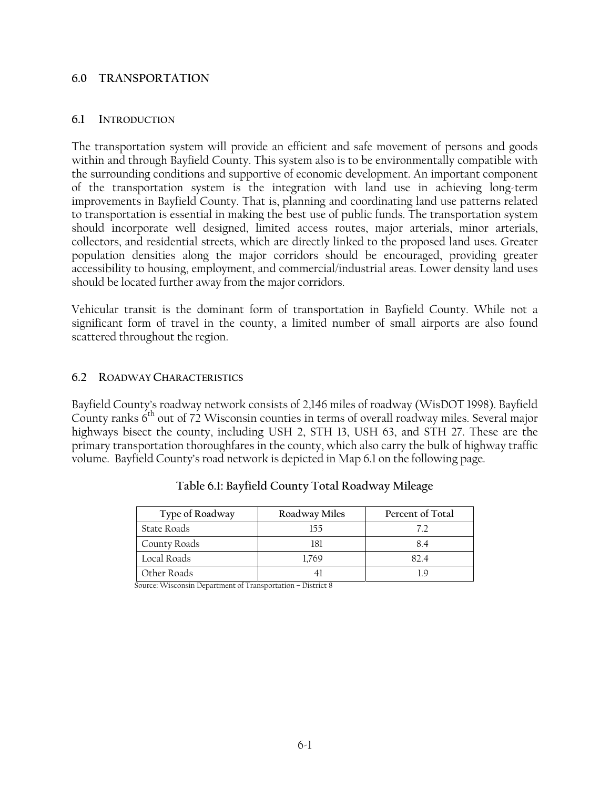#### **6.0 TRANSPORTATION**

#### **6.1 INTRODUCTION**

The transportation system will provide an efficient and safe movement of persons and goods within and through Bayfield County. This system also is to be environmentally compatible with the surrounding conditions and supportive of economic development. An important component of the transportation system is the integration with land use in achieving long-term improvements in Bayfield County. That is, planning and coordinating land use patterns related to transportation is essential in making the best use of public funds. The transportation system should incorporate well designed, limited access routes, major arterials, minor arterials, collectors, and residential streets, which are directly linked to the proposed land uses. Greater population densities along the major corridors should be encouraged, providing greater accessibility to housing, employment, and commercial/industrial areas. Lower density land uses should be located further away from the major corridors.

Vehicular transit is the dominant form of transportation in Bayfield County. While not a significant form of travel in the county, a limited number of small airports are also found scattered throughout the region.

### **6.2 ROADWAY CHARACTERISTICS**

Bayfield County's roadway network consists of 2,146 miles of roadway (WisDOT 1998). Bayfield County ranks  $6<sup>th</sup>$  out of 72 Wisconsin counties in terms of overall roadway miles. Several major highways bisect the county, including USH 2, STH 13, USH 63, and STH 27. These are the primary transportation thoroughfares in the county, which also carry the bulk of highway traffic volume. Bayfield County's road network is depicted in Map 6.1 on the following page.

| Type of Roadway | Roadway Miles | Percent of Total |
|-----------------|---------------|------------------|
| State Roads     | 155           | 77               |
| County Roads    | 181           | 84               |
| Local Roads     | 1.769         |                  |
| Other Roads     |               |                  |

| Table 6.1: Bayfield County Total Roadway Mileage |  |  |  |
|--------------------------------------------------|--|--|--|
|                                                  |  |  |  |

Source: Wisconsin Department of Transportation – District 8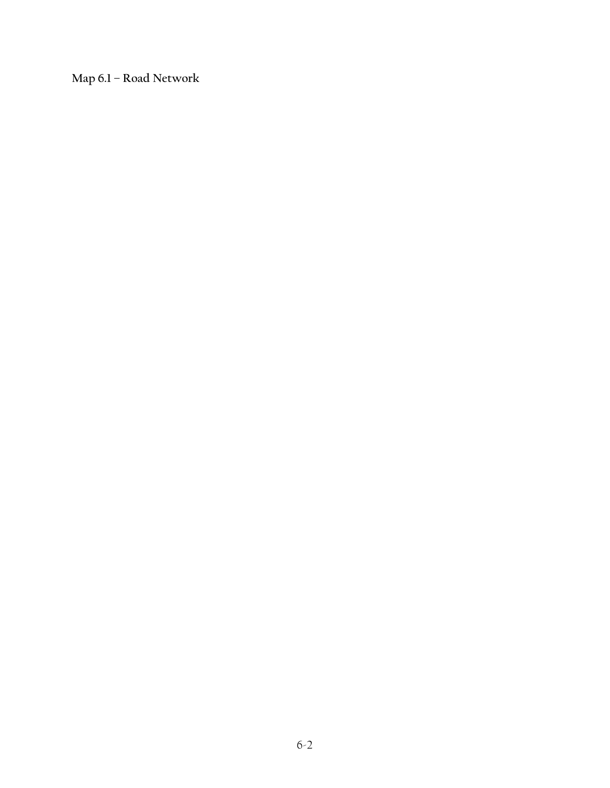**Map 6.1 – Road Network**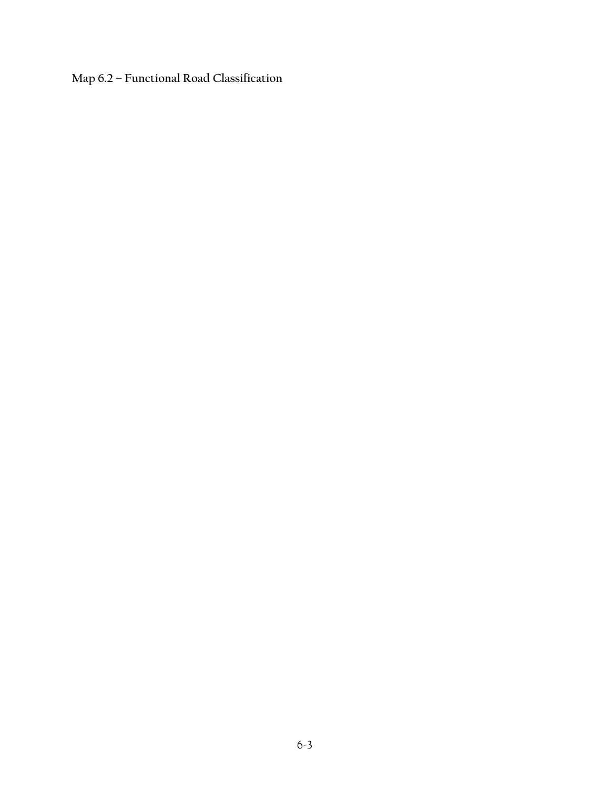**Map 6.2 – Functional Road Classification**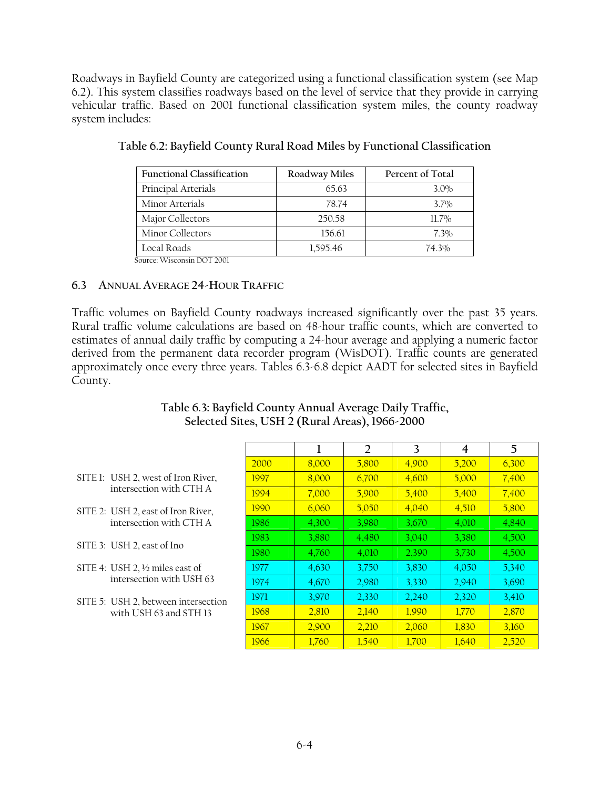Roadways in Bayfield County are categorized using a functional classification system (see Map 6.2). This system classifies roadways based on the level of service that they provide in carrying vehicular traffic. Based on 2001 functional classification system miles, the county roadway system includes:

| <b>Functional Classification</b> | Roadway Miles | Percent of Total |
|----------------------------------|---------------|------------------|
| Principal Arterials              | 65.63         | $3.0\%$          |
| Minor Arterials                  | 78.74         | $3.7\%$          |
| Major Collectors                 | 250.58        | $11.7\%$         |
| Minor Collectors                 | 156.61        | $7.3\%$          |
| Local Roads                      | 1,595.46      | 74.3%            |

|  |  | Table 6.2: Bayfield County Rural Road Miles by Functional Classification |
|--|--|--------------------------------------------------------------------------|
|--|--|--------------------------------------------------------------------------|

Source: Wisconsin DOT 2001

# **6.3 ANNUAL AVERAGE 24-HOUR TRAFFIC**

Traffic volumes on Bayfield County roadways increased significantly over the past 35 years. Rural traffic volume calculations are based on 48-hour traffic counts, which are converted to estimates of annual daily traffic by computing a 24-hour average and applying a numeric factor derived from the permanent data recorder program (WisDOT). Traffic counts are generated approximately once every three years. Tables 6.3-6.8 depict AADT for selected sites in Bayfield County.

# **Table 6.3: Bayfield County Annual Average Daily Traffic, Selected Sites, USH 2 (Rural Areas), 1966-2000**

- SITE 1: USH 2, west of Iron River, intersection with CTH A
- SITE 2: USH 2, east of Iron River, intersection with CTH A
- SITE 3: USH 2, east of Ino
- SITE 4: USH 2, ½ miles east of intersection with USH 63
- SITE 5: USH 2, between intersection with USH 63 and STH 13

|      | ı     | 2     | 3     | 4     | 5     |
|------|-------|-------|-------|-------|-------|
| 2000 | 8,000 | 5,800 | 4,900 | 5,200 | 6,300 |
| 1997 | 8,000 | 6,700 | 4,600 | 5,000 | 7,400 |
| 1994 | 7,000 | 5,900 | 5,400 | 5,400 | 7,400 |
| 1990 | 6,060 | 5,050 | 4,040 | 4,510 | 5,800 |
| 1986 | 4,300 | 3,980 | 3,670 | 4,010 | 4,840 |
| 1983 | 3,880 | 4,480 | 3,040 | 3,380 | 4,500 |
| 1980 | 4,760 | 4,010 | 2,390 | 3,730 | 4,500 |
| 1977 | 4,630 | 3,750 | 3,830 | 4,050 | 5,340 |
| 1974 | 4,670 | 2,980 | 3,330 | 2,940 | 3,690 |
| 1971 | 3,970 | 2,330 | 2,240 | 2,320 | 3,410 |
| 1968 | 2,810 | 2,140 | 1,990 | 1,770 | 2,870 |
| 1967 | 2,900 | 2,210 | 2,060 | 1,830 | 3,160 |
| 1966 | 1,760 | 1,540 | 1,700 | 1,640 | 2,520 |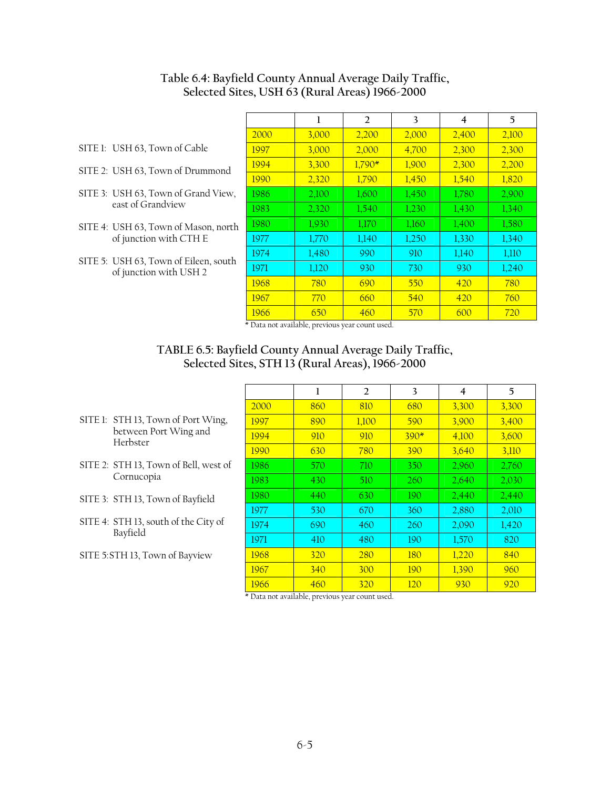|      | 1                   | 2        | 3     | 4     | 5     |
|------|---------------------|----------|-------|-------|-------|
| 2000 | 3,000               | 2,200    | 2,000 | 2,400 | 2,100 |
| 1997 | 3,000               | 2,000    | 4,700 | 2,300 | 2,300 |
| 1994 | 3,300               | $1,790*$ | 1,900 | 2,300 | 2,200 |
| 1990 | 2,320               | 1,790    | 1,450 | 1,540 | 1,820 |
| 1986 | 2,100               | 1,600    | 1,450 | 1,780 | 2,900 |
| 1983 | 2,320               | 1,540    | 1,230 | 1,430 | 1,340 |
| 1980 | 1,930               | 1,170    | 1,160 | 1,400 | 1,580 |
| 1977 | 1,770               | 1,140    | 1,250 | 1,330 | 1,340 |
| 1974 | 1,480               | 990      | 910   | 1,140 | 1,110 |
| 1971 | 1,120               | 930      | 730   | 930   | 1,240 |
| 1968 | 780                 | 690      | 550   | 420   | 780   |
| 1967 | 770                 | 660      | 540   | 420   | 760   |
| 1966 | 650<br>$\mathbf{u}$ | 460      | 570   | 600   | 720   |

# **Table 6.4: Bayfield County Annual Average Daily Traffic, Selected Sites, USH 63 (Rural Areas) 1966-2000**

- SITE 1: USH 63, Town of Cable
- SITE 2: USH 63, Town of Drummond
- SITE 3: USH 63, Town of Grand View, east of Grandview
- SITE 4: USH 63, Town of Mason, north of junction with CTH E
- SITE 5: USH 63, Town of Eileen, south of junction with USH 2

\* Data not available, previous year count used.

# **TABLE 6.5: Bayfield County Annual Average Daily Traffic, Selected Sites, STH 13 (Rural Areas), 1966-2000**

|                                                  |      | 1   | $\mathcal{L}$ | 3          | 4     | 5     |
|--------------------------------------------------|------|-----|---------------|------------|-------|-------|
|                                                  | 2000 | 860 | 810           | 680        | 3,300 | 3,300 |
| SITE 1: STH 13, Town of Port Wing,               | 1997 | 890 | 1,100         | 590        | 3,900 | 3,400 |
| between Port Wing and<br>Herbster                | 1994 | 910 | 910           | $390*$     | 4,100 | 3,600 |
|                                                  | 1990 | 630 | 780           | 390        | 3,640 | 3,110 |
| SITE 2: STH 13, Town of Bell, west of            | 1986 | 570 | 710           | <b>350</b> | 2,960 | 2,760 |
| Cornucopia                                       | 1983 | 430 | 510           | 260        | 2,640 | 2,030 |
| SITE 3: STH 13, Town of Bayfield                 | 1980 | 440 | 630           | 190        | 2.440 | 2,440 |
|                                                  | 1977 | 530 | 670           | 360        | 2,880 | 2,010 |
| SITE 4: STH 13, south of the City of<br>Bayfield | 1974 | 690 | 460           | 260        | 2,090 | 1,420 |
|                                                  | 1971 | 410 | 480           | 190        | 1,570 | 820   |
| SITE 5:STH 13, Town of Bayview                   | 1968 | 320 | <b>280</b>    | 180        | 1,220 | 840   |
|                                                  | 1967 | 340 | 300           | 190        | 1,390 | 960   |
|                                                  | 1966 | 460 | <b>320</b>    | 120        | 930   | 920   |

\* Data not available, previous year count used.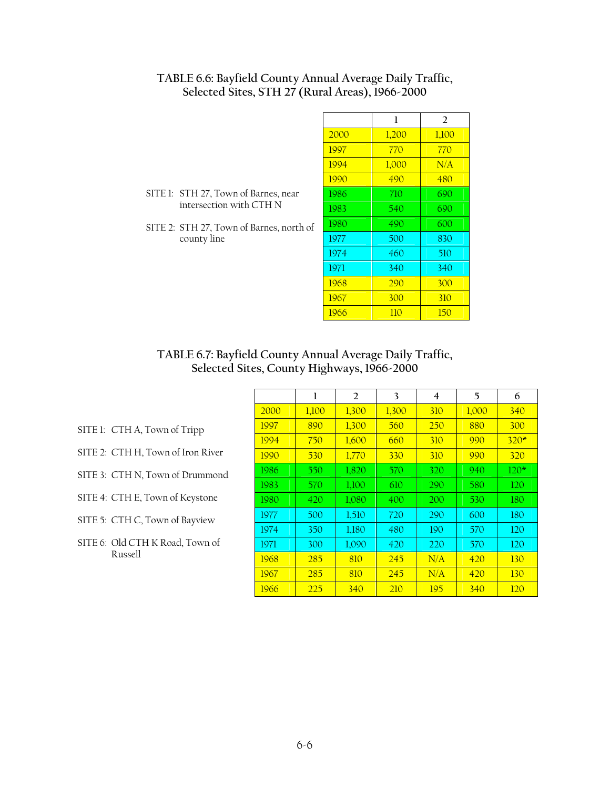| TABLE 6.6: Bayfield County Annual Average Daily Traffic, |
|----------------------------------------------------------|
| Selected Sites, STH 27 (Rural Areas), 1966-2000          |

SITE 1: STH 27, Town of Barnes, near intersection with CTH N

county line

SITE 2: STH 27, Town of Barnes, north of

|      | 1     | 2     |
|------|-------|-------|
| 2000 | 1,200 | 1,100 |
| 1997 | 770   | 770   |
| 1994 | 1,000 | N/A   |
| 1990 | 490   | 480   |
| 1986 | 710   | 690   |
| 1983 | 540   | 690   |
| 1980 | 490   | 600   |
| 1977 | 500   | 830   |
| 1974 | 460   | 510   |
| 1971 | 340   | 340   |
| 1968 | 290   | 300   |
| 1967 | 300   | 310   |
| 1966 | 110   | 150   |

# **TABLE 6.7: Bayfield County Annual Average Daily Traffic, Selected Sites, County Highways, 1966-2000**

|             | 1     | 2          | 3     | 4   | 5     | 6          |
|-------------|-------|------------|-------|-----|-------|------------|
| 2000        | 1,100 | 1,300      | 1,300 | 310 | 1,000 | 340        |
| 1997        | 890   | 1,300      | 560   | 250 | 880   | 300        |
| 1994        | 750   | 1,600      | 660   | 310 | 990   | $320*$     |
| <u>1990</u> | 530   | 1,770      | 330   | 310 | 990   | 320        |
| 1986        | 550   | 1,820      | 570   | 320 | 940   | $120*$     |
| 1983        | 570   | 1,100      | 610   | 290 | 580   | 120        |
| 1980        | 420   | 1,080      | 400   | 200 | 530   | 180        |
| 1977        | 500   | 1,510      | 720   | 290 | 600   | 180        |
| 1974        | 350   | 1,180      | 480   | 190 | 570   | 120        |
| 1971        | 300   | 1,090      | 420   | 220 | 570   | 120        |
| 1968        | 285   | 810        | 245   | N/A | 420   | <b>130</b> |
| 1967        | 285   | 810        | 245   | N/A | 420   | <b>130</b> |
| 1966        | 225   | <b>340</b> | 210   | 195 | 340   | <u>120</u> |

- SITE 1: CTH A, Town of Tripp
- SITE 2: CTH H, Town of Iron River
- SITE 3: CTH N, Town of Drummond
- SITE 4: CTH E, Town of Keystone
- SITE 5: CTH C, Town of Bayview
- SITE 6: Old CTH K Road, Town of Russell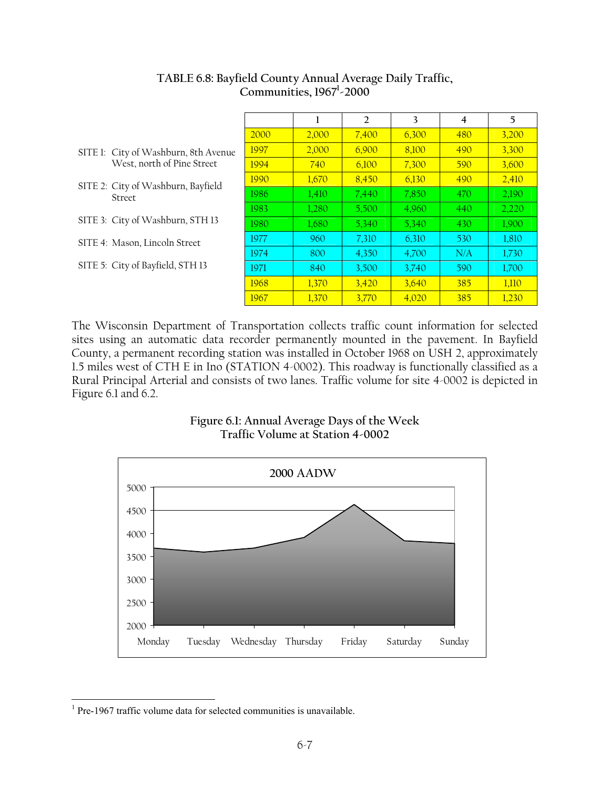|                                              |      | 1     | $\overline{2}$ | 3     | 4   | 5     |
|----------------------------------------------|------|-------|----------------|-------|-----|-------|
|                                              | 2000 | 2.000 | 7,400          | 6.300 | 480 | 3.200 |
| SITE 1: City of Washburn, 8th Avenue         | 1997 | 2.000 | 6.900          | 8.100 | 490 | 3,300 |
| West, north of Pine Street                   | 1994 | 740   | 6,100          | 7,300 | 590 | 3,600 |
| SITE 2: City of Washburn, Bayfield<br>Street | 1990 | 1,670 | 8,450          | 6,130 | 490 | 2,410 |
|                                              | 1986 | 1,410 | 7,440          | 7,850 | 470 | 2,190 |
|                                              | 1983 | 1.280 | 5.500          | 4,960 | 440 | 2,220 |
| SITE 3: City of Washburn, STH 13             | 1980 | 1.680 | 5,340          | 5,340 | 430 | 1,900 |
| SITE 4: Mason, Lincoln Street                | 1977 | 960   | 7,310          | 6,310 | 530 | 1,810 |
|                                              | 1974 | 800   | 4,350          | 4,700 | N/A | 1,730 |
| SITE 5: City of Bayfield, STH 13             | 1971 | 840   | 3,500          | 3,740 | 590 | 1,700 |
|                                              | 1968 | 1,370 | 3.420          | 3,640 | 385 | 1,110 |
|                                              | 1967 | 1,370 | 3,770          | 4.020 | 385 | 1,230 |

# **TABLE 6.8: Bayfield County Annual Average Daily Traffic, Communities, 1967<sup>1</sup> -2000**

The Wisconsin Department of Transportation collects traffic count information for selected sites using an automatic data recorder permanently mounted in the pavement. In Bayfield County, a permanent recording station was installed in October 1968 on USH 2, approximately 1.5 miles west of CTH E in Ino (STATION 4-0002). This roadway is functionally classified as a Rural Principal Arterial and consists of two lanes. Traffic volume for site 4-0002 is depicted in Figure 6.1 and 6.2.

# **Figure 6.1: Annual Average Days of the Week Traffic Volume at Station 4-0002**



<sup>&</sup>lt;sup>1</sup> Pre-1967 traffic volume data for selected communities is unavailable.

 $\overline{a}$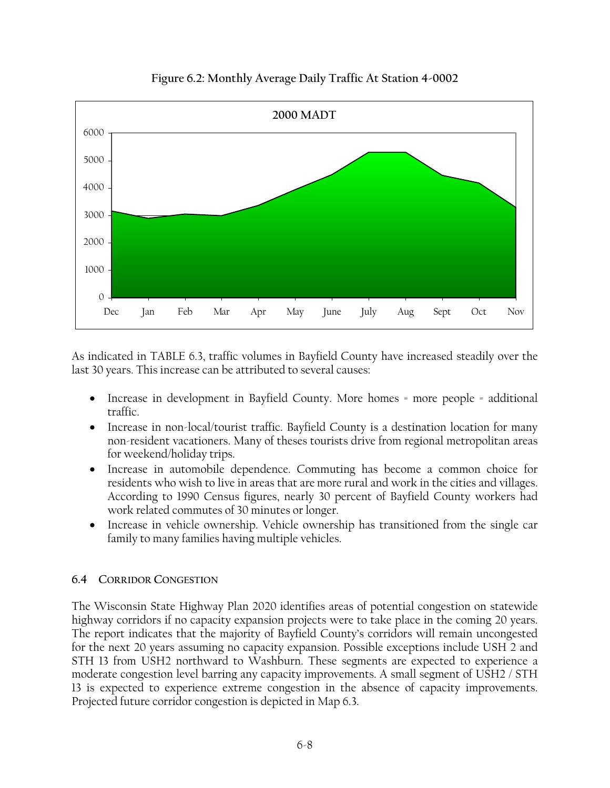

# **Figure 6.2: Monthly Average Daily Traffic At Station 4-0002**

As indicated in TABLE 6.3, traffic volumes in Bayfield County have increased steadily over the last 30 years. This increase can be attributed to several causes:

- Increase in development in Bayfield County. More homes = more people = additional traffic.
- Increase in non-local/tourist traffic. Bayfield County is a destination location for many non-resident vacationers. Many of theses tourists drive from regional metropolitan areas for weekend/holiday trips.
- Increase in automobile dependence. Commuting has become a common choice for residents who wish to live in areas that are more rural and work in the cities and villages. According to 1990 Census figures, nearly 30 percent of Bayfield County workers had work related commutes of 30 minutes or longer.
- Increase in vehicle ownership. Vehicle ownership has transitioned from the single car family to many families having multiple vehicles.

# **6.4 CORRIDOR CONGESTION**

The Wisconsin State Highway Plan 2020 identifies areas of potential congestion on statewide highway corridors if no capacity expansion projects were to take place in the coming 20 years. The report indicates that the majority of Bayfield County's corridors will remain uncongested for the next 20 years assuming no capacity expansion. Possible exceptions include USH 2 and STH 13 from USH2 northward to Washburn. These segments are expected to experience a moderate congestion level barring any capacity improvements. A small segment of USH2 / STH 13 is expected to experience extreme congestion in the absence of capacity improvements. Projected future corridor congestion is depicted in Map 6.3.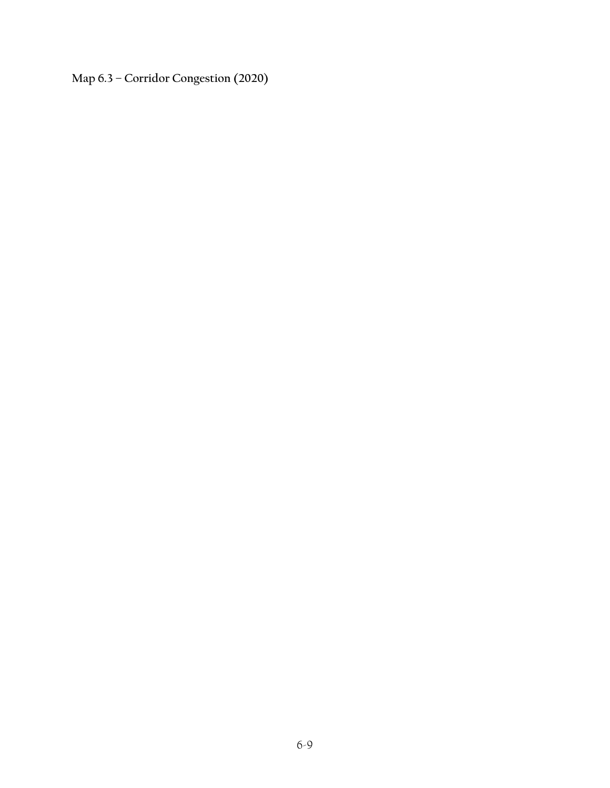**Map 6.3 – Corridor Congestion (2020)**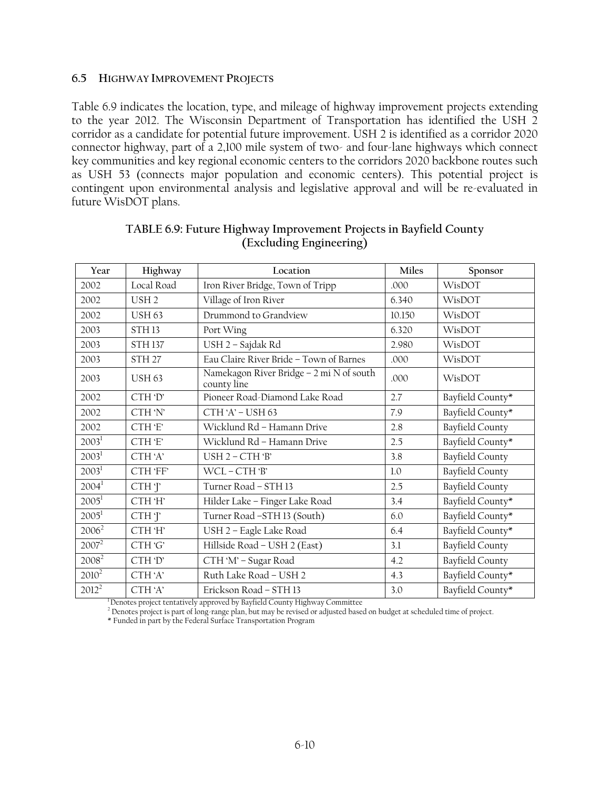#### **6.5 HIGHWAY IMPROVEMENT PROJECTS**

Table 6.9 indicates the location, type, and mileage of highway improvement projects extending to the year 2012. The Wisconsin Department of Transportation has identified the USH 2 corridor as a candidate for potential future improvement. USH 2 is identified as a corridor 2020 connector highway, part of a 2,100 mile system of two- and four-lane highways which connect key communities and key regional economic centers to the corridors 2020 backbone routes such as USH 53 (connects major population and economic centers). This potential project is contingent upon environmental analysis and legislative approval and will be re-evaluated in future WisDOT plans.

| Year              | Highway           | Location                                                | Miles  | Sponsor                |
|-------------------|-------------------|---------------------------------------------------------|--------|------------------------|
| 2002              | Local Road        | Iron River Bridge, Town of Tripp                        | .000   | WisDOT                 |
| 2002              | USH <sub>2</sub>  | Village of Iron River                                   | 6.340  | WisDOT                 |
| 2002              | <b>USH 63</b>     | Drummond to Grandview                                   | 10.150 | WisDOT                 |
| 2003              | STH <sub>13</sub> | Port Wing                                               | 6.320  | WisDOT                 |
| 2003              | <b>STH137</b>     | USH 2 - Sajdak Rd                                       | 2.980  | WisDOT                 |
| 2003              | STH <sub>27</sub> | Eau Claire River Bride - Town of Barnes                 | .000   | WisDOT                 |
| 2003              | <b>USH 63</b>     | Namekagon River Bridge - 2 mi N of south<br>county line | .000   | WisDOT                 |
| 2002              | CTH 'D'           | Pioneer Road-Diamond Lake Road                          | 2.7    | Bayfield County*       |
| 2002              | CTH 'N'           | $CTH'A' - USH 63$                                       | 7.9    | Bayfield County*       |
| 2002              | CTH 'E'           | Wicklund Rd - Hamann Drive                              | 2.8    | <b>Bayfield County</b> |
| $2003^1$          | CTH 'E'           | Wicklund Rd - Hamann Drive                              | 2.5    | Bayfield County*       |
| $2003^1$          | CTH'A'            | $USH 2 - CTH 3$                                         | 3.8    | <b>Bayfield County</b> |
| 2003 <sup>1</sup> | CTH 'FF'          | WCL-CTH'B'                                              | 1.0    | <b>Bayfield County</b> |
| 2004 <sup>1</sup> | CTH T             | Turner Road - STH 13                                    | 2.5    | <b>Bayfield County</b> |
| $2005^1$          | CTH 'H'           | Hilder Lake - Finger Lake Road                          | 3.4    | Bayfield County*       |
| $2005^1$          | CTHT              | Turner Road -STH 13 (South)                             | 6.0    | Bayfield County*       |
| $2006^2$          | CTH 'H'           | USH 2 - Eagle Lake Road                                 | 6.4    | Bayfield County*       |
| $2007^2$          | CTH 'G'           | Hillside Road - USH 2 (East)                            | 3.1    | <b>Bayfield County</b> |
| 2008 <sup>2</sup> | CTH 'D'           | CTH 'M' - Sugar Road                                    | 4.2    | <b>Bayfield County</b> |
| $2010^2$          | CTH'A'            | Ruth Lake Road - USH 2                                  | 4.3    | Bayfield County*       |
| $2012^2$          | CTH'A'            | Erickson Road - STH 13                                  | 3.0    | Bayfield County*       |

#### **TABLE 6.9: Future Highway Improvement Projects in Bayfield County (Excluding Engineering)**

 $\frac{1}{2}$ Denotes project tentatively approved by Bayfield County Highway Committee

<sup>2</sup> Denotes project is part of long-range plan, but may be revised or adjusted based on budget at scheduled time of project.

\* Funded in part by the Federal Surface Transportation Program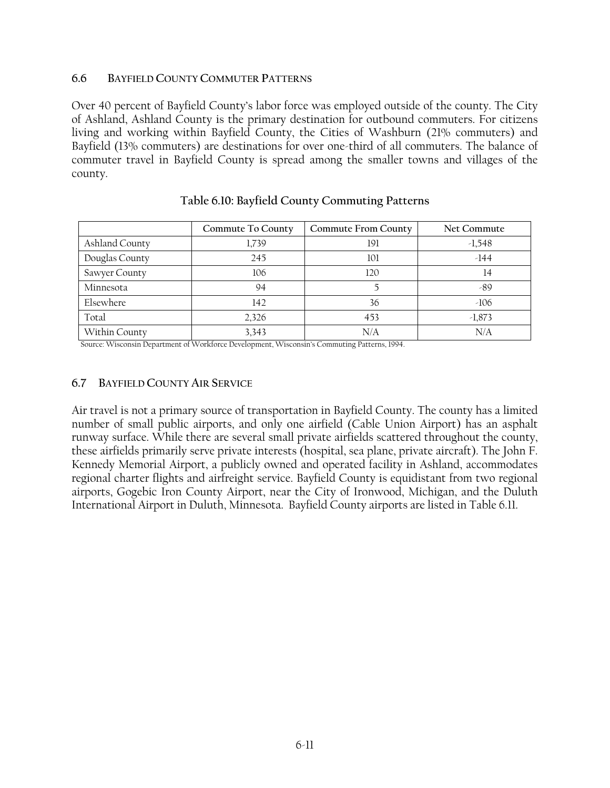#### **6.6 BAYFIELD COUNTY COMMUTER PATTERNS**

Over 40 percent of Bayfield County's labor force was employed outside of the county. The City of Ashland, Ashland County is the primary destination for outbound commuters. For citizens living and working within Bayfield County, the Cities of Washburn (21% commuters) and Bayfield (13% commuters) are destinations for over one-third of all commuters. The balance of commuter travel in Bayfield County is spread among the smaller towns and villages of the county.

|                | Commute To County | <b>Commute From County</b> | Net Commute |
|----------------|-------------------|----------------------------|-------------|
| Ashland County | 1,739             | 191                        | $-1,548$    |
| Douglas County | 245               | 101                        | $-144$      |
| Sawyer County  | 106               | 120                        | 14          |
| Minnesota      | 94                |                            | -89         |
| Elsewhere      | 142               | 36                         | $-106$      |
| Total          | 2,326             | 453                        | $-1,873$    |
| Within County  | 3.343             | N/A                        | N/A         |

#### **Table 6.10: Bayfield County Commuting Patterns**

Source: Wisconsin Department of Workforce Development, Wisconsin's Commuting Patterns, 1994.

#### **6.7 BAYFIELD COUNTY AIR SERVICE**

Air travel is not a primary source of transportation in Bayfield County. The county has a limited number of small public airports, and only one airfield (Cable Union Airport) has an asphalt runway surface. While there are several small private airfields scattered throughout the county, these airfields primarily serve private interests (hospital, sea plane, private aircraft). The John F. Kennedy Memorial Airport, a publicly owned and operated facility in Ashland, accommodates regional charter flights and airfreight service. Bayfield County is equidistant from two regional airports, Gogebic Iron County Airport, near the City of Ironwood, Michigan, and the Duluth International Airport in Duluth, Minnesota. Bayfield County airports are listed in Table 6.11.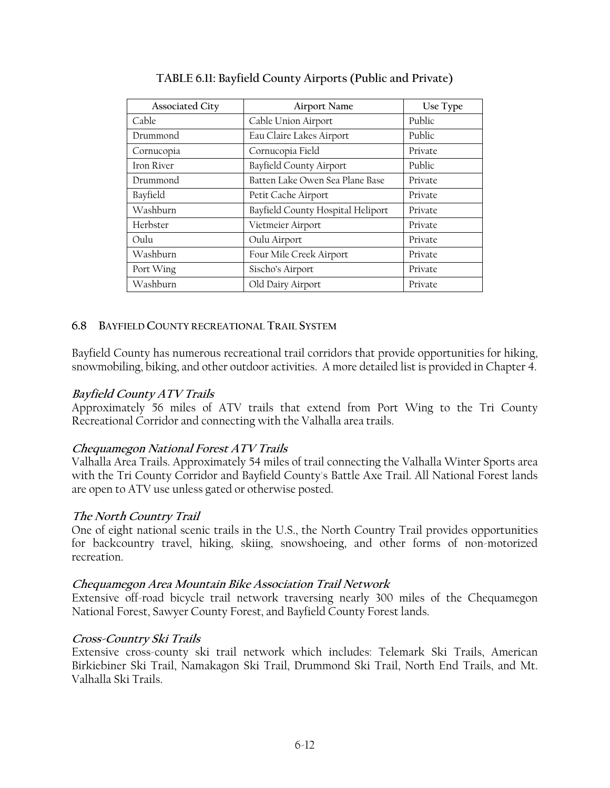| <b>Associated City</b> | <b>Airport Name</b>               | Use Type |
|------------------------|-----------------------------------|----------|
| Cable                  | Cable Union Airport               | Public   |
| Drummond               | Eau Claire Lakes Airport          | Public   |
| Cornucopia             | Cornucopia Field                  | Private  |
| Iron River             | Bayfield County Airport           | Public   |
| Drummond               | Batten Lake Owen Sea Plane Base   | Private  |
| Bayfield               | Petit Cache Airport               | Private  |
| Washburn               | Bayfield County Hospital Heliport | Private  |
| Herbster               | Vietmeier Airport                 | Private  |
| Oulu                   | Oulu Airport                      | Private  |
| Washburn               | Four Mile Creek Airport           | Private  |
| Port Wing              | Sischo's Airport                  | Private  |
| Washburn               | Old Dairy Airport                 | Private  |

# **TABLE 6.11: Bayfield County Airports (Public and Private)**

# **6.8 BAYFIELD COUNTY RECREATIONAL TRAIL SYSTEM**

Bayfield County has numerous recreational trail corridors that provide opportunities for hiking, snowmobiling, biking, and other outdoor activities. A more detailed list is provided in Chapter 4.

#### **Bayfield County ATV Trails**

Approximately 56 miles of ATV trails that extend from Port Wing to the Tri County Recreational Corridor and connecting with the Valhalla area trails.

# **Chequamegon National Forest ATV Trails**

Valhalla Area Trails. Approximately 54 miles of trail connecting the Valhalla Winter Sports area with the Tri County Corridor and Bayfield County's Battle Axe Trail. All National Forest lands are open to ATV use unless gated or otherwise posted.

#### **The North Country Trail**

One of eight national scenic trails in the U.S., the North Country Trail provides opportunities for backcountry travel, hiking, skiing, snowshoeing, and other forms of non-motorized recreation.

# **Chequamegon Area Mountain Bike Association Trail Network**

Extensive off-road bicycle trail network traversing nearly 300 miles of the Chequamegon National Forest, Sawyer County Forest, and Bayfield County Forest lands.

#### **Cross-Country Ski Trails**

Extensive cross-county ski trail network which includes: Telemark Ski Trails, American Birkiebiner Ski Trail, Namakagon Ski Trail, Drummond Ski Trail, North End Trails, and Mt. Valhalla Ski Trails.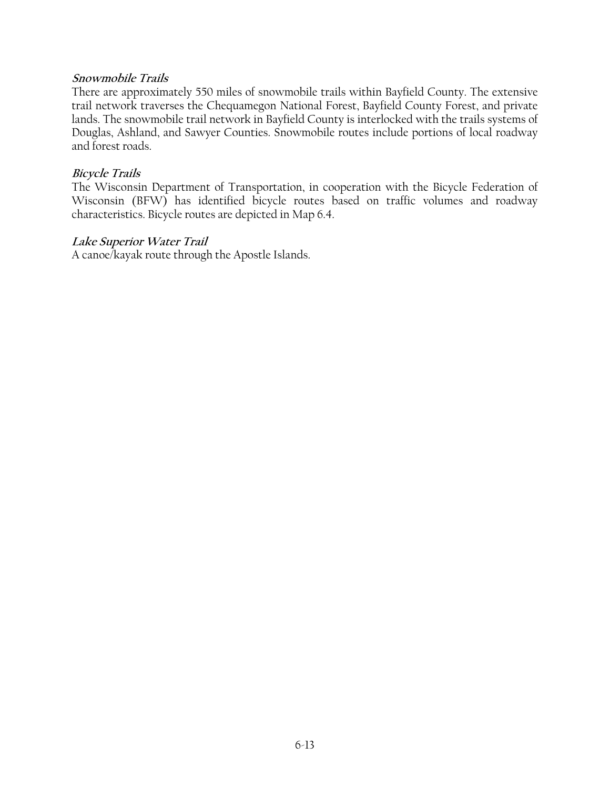#### **Snowmobile Trails**

There are approximately 550 miles of snowmobile trails within Bayfield County. The extensive trail network traverses the Chequamegon National Forest, Bayfield County Forest, and private lands. The snowmobile trail network in Bayfield County is interlocked with the trails systems of Douglas, Ashland, and Sawyer Counties. Snowmobile routes include portions of local roadway and forest roads.

#### **Bicycle Trails**

The Wisconsin Department of Transportation, in cooperation with the Bicycle Federation of Wisconsin (BFW) has identified bicycle routes based on traffic volumes and roadway characteristics. Bicycle routes are depicted in Map 6.4.

### **Lake Superior Water Trail**

A canoe/kayak route through the Apostle Islands.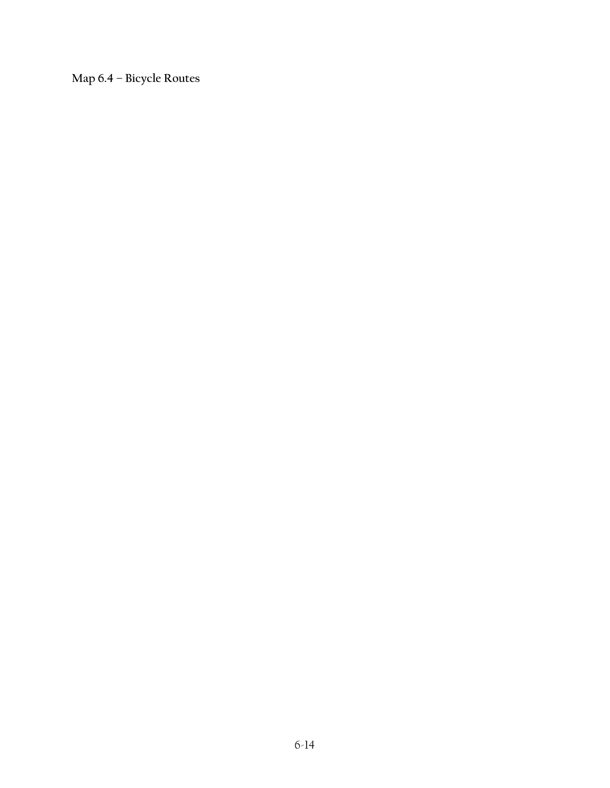**Map 6.4 – Bicycle Routes**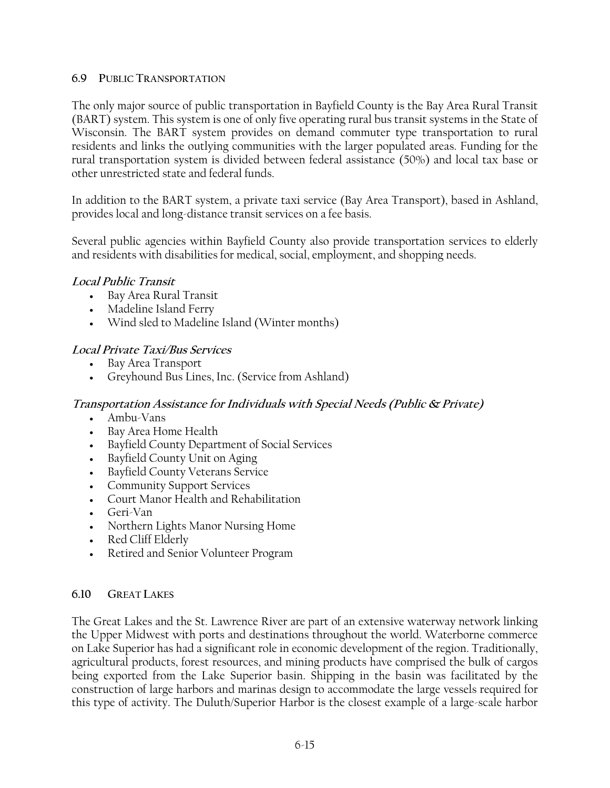#### **6.9 PUBLIC TRANSPORTATION**

The only major source of public transportation in Bayfield County is the Bay Area Rural Transit (BART) system. This system is one of only five operating rural bus transit systems in the State of Wisconsin. The BART system provides on demand commuter type transportation to rural residents and links the outlying communities with the larger populated areas. Funding for the rural transportation system is divided between federal assistance (50%) and local tax base or other unrestricted state and federal funds.

In addition to the BART system, a private taxi service (Bay Area Transport), based in Ashland, provides local and long-distance transit services on a fee basis.

Several public agencies within Bayfield County also provide transportation services to elderly and residents with disabilities for medical, social, employment, and shopping needs.

# **Local Public Transit**

- Bay Area Rural Transit
- Madeline Island Ferry
- Wind sled to Madeline Island (Winter months)

# **Local Private Taxi/Bus Services**

- Bay Area Transport
- Greyhound Bus Lines, Inc. (Service from Ashland)

# **Transportation Assistance for Individuals with Special Needs (Public & Private)**

- Ambu-Vans
- Bay Area Home Health
- Bayfield County Department of Social Services
- Bayfield County Unit on Aging
- Bayfield County Veterans Service
- Community Support Services
- Court Manor Health and Rehabilitation
- Geri-Van
- Northern Lights Manor Nursing Home
- Red Cliff Elderly
- Retired and Senior Volunteer Program

# **6.10 GREAT LAKES**

The Great Lakes and the St. Lawrence River are part of an extensive waterway network linking the Upper Midwest with ports and destinations throughout the world. Waterborne commerce on Lake Superior has had a significant role in economic development of the region. Traditionally, agricultural products, forest resources, and mining products have comprised the bulk of cargos being exported from the Lake Superior basin. Shipping in the basin was facilitated by the construction of large harbors and marinas design to accommodate the large vessels required for this type of activity. The Duluth/Superior Harbor is the closest example of a large-scale harbor